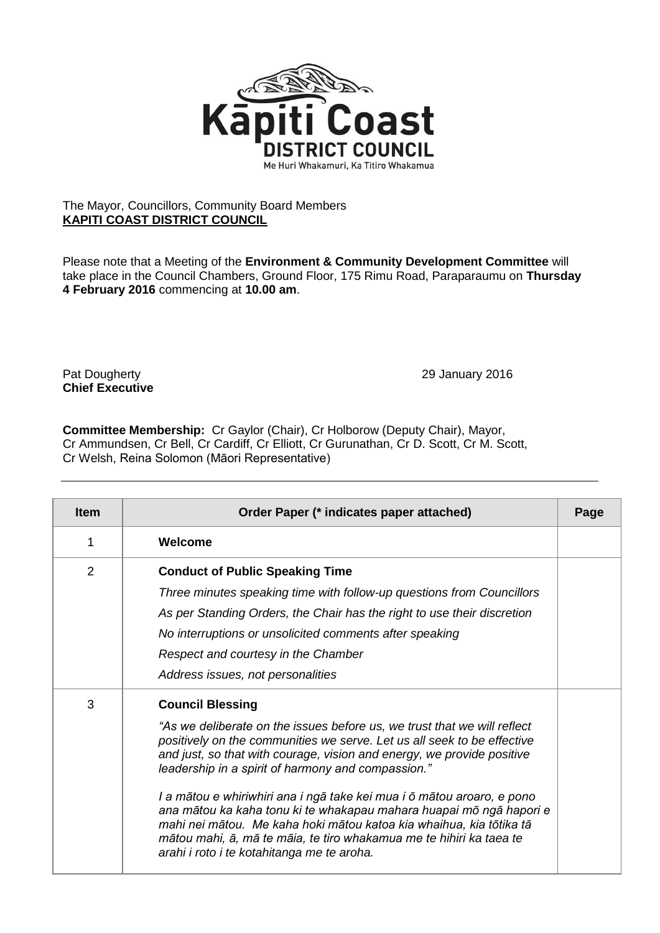

## The Mayor, Councillors, Community Board Members **KAPITI COAST DISTRICT COUNCIL**

Please note that a Meeting of the **Environment & Community Development Committee** will take place in the Council Chambers, Ground Floor, 175 Rimu Road, Paraparaumu on **Thursday 4 February 2016** commencing at **10.00 am**.

**Chief Executive**

Pat Dougherty 2016

**Committee Membership:** Cr Gaylor (Chair), Cr Holborow (Deputy Chair), Mayor, Cr Ammundsen, Cr Bell, Cr Cardiff, Cr Elliott, Cr Gurunathan, Cr D. Scott, Cr M. Scott, Cr Welsh, Reina Solomon (Māori Representative)

| <b>Item</b> | Order Paper (* indicates paper attached)                                                                                                                                                                                                                                                                                                                                                                                                                                                                                                                                                                                                                    | Page |
|-------------|-------------------------------------------------------------------------------------------------------------------------------------------------------------------------------------------------------------------------------------------------------------------------------------------------------------------------------------------------------------------------------------------------------------------------------------------------------------------------------------------------------------------------------------------------------------------------------------------------------------------------------------------------------------|------|
| 1           | Welcome                                                                                                                                                                                                                                                                                                                                                                                                                                                                                                                                                                                                                                                     |      |
| 2           | <b>Conduct of Public Speaking Time</b><br>Three minutes speaking time with follow-up questions from Councillors<br>As per Standing Orders, the Chair has the right to use their discretion<br>No interruptions or unsolicited comments after speaking<br>Respect and courtesy in the Chamber<br>Address issues, not personalities                                                                                                                                                                                                                                                                                                                           |      |
| 3           | <b>Council Blessing</b><br>"As we deliberate on the issues before us, we trust that we will reflect<br>positively on the communities we serve. Let us all seek to be effective<br>and just, so that with courage, vision and energy, we provide positive<br>leadership in a spirit of harmony and compassion."<br>I a mātou e whiriwhiri ana i ngā take kei mua i ō mātou aroaro, e pono<br>ana mātou ka kaha tonu ki te whakapau mahara huapai mō ngā hapori e<br>mahi nei mātou. Me kaha hoki mātou katoa kia whaihua, kia tōtika tā<br>mātou mahi, ā, mā te māia, te tiro whakamua me te hihiri ka taea te<br>arahi i roto i te kotahitanga me te aroha. |      |